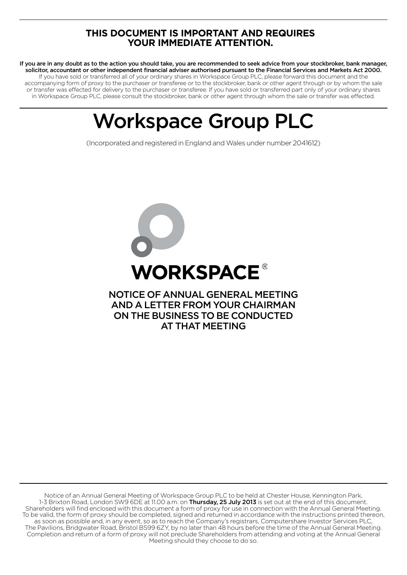# **THIS DOCUMENT IS IMPORTANT AND REQUIRES YOUR IMMEDIATE ATTENTION.**

If you are in any doubt as to the action you should take, you are recommended to seek advice from your stockbroker, bank manager, solicitor, accountant or other independent financial adviser authorised pursuant to the Financial Services and Markets Act 2000. If you have sold or transferred all of your ordinary shares in Workspace Group PLC, please forward this document and the accompanying form of proxy to the purchaser or transferee or to the stockbroker, bank or other agent through or by whom the sale or transfer was effected for delivery to the purchaser or transferee. If you have sold or transferred part only of your ordinary shares in Workspace Group PLC, please consult the stockbroker, bank or other agent through whom the sale or transfer was effected.

# Workspace Group PLC

(Incorporated and registered in England and Wales under number 2041612)



Notice of an Annual General Meeting of Workspace Group PLC to be held at Chester House, Kennington Park, 1-3 Brixton Road, London SW9 6DE at 11.00 a.m. on Thursday, 25 July 2013 is set out at the end of this document. Shareholders will find enclosed with this document a form of proxy for use in connection with the Annual General Meeting. To be valid, the form of proxy should be completed, signed and returned in accordance with the instructions printed thereon, as soon as possible and, in any event, so as to reach the Company's registrars, Computershare Investor Services PLC, The Pavilions, Bridgwater Road, Bristol BS99 6ZY, by no later than 48 hours before the time of the Annual General Meeting. Completion and return of a form of proxy will not preclude Shareholders from attending and voting at the Annual General Meeting should they choose to do so.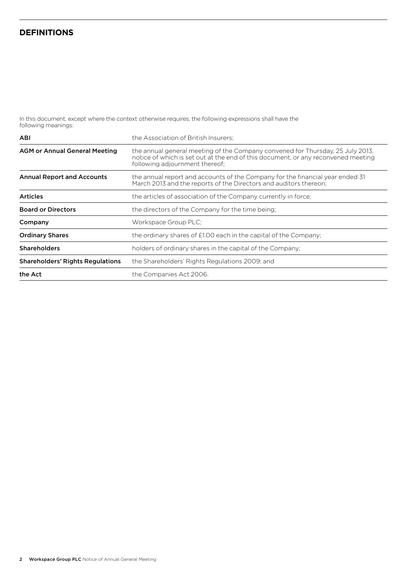# **Definitions**

In this document, except where the context otherwise requires, the following expressions shall have the following meanings:

| <b>ABI</b>                              | the Association of British Insurers:                                                                                                                                                                  |
|-----------------------------------------|-------------------------------------------------------------------------------------------------------------------------------------------------------------------------------------------------------|
| <b>AGM or Annual General Meeting</b>    | the annual general meeting of the Company convened for Thursday, 25 July 2013.<br>notice of which is set out at the end of this document, or any reconvened meeting<br>following adjournment thereof; |
| <b>Annual Report and Accounts</b>       | the annual report and accounts of the Company for the financial year ended 31<br>March 2013 and the reports of the Directors and auditors thereon;                                                    |
| <b>Articles</b>                         | the articles of association of the Company currently in force;                                                                                                                                        |
| <b>Board or Directors</b>               | the directors of the Company for the time being:                                                                                                                                                      |
| Company                                 | Workspace Group PLC;                                                                                                                                                                                  |
| <b>Ordinary Shares</b>                  | the ordinary shares of £1.00 each in the capital of the Company;                                                                                                                                      |
| <b>Shareholders</b>                     | holders of ordinary shares in the capital of the Company;                                                                                                                                             |
| <b>Shareholders' Rights Regulations</b> | the Shareholders' Rights Regulations 2009; and                                                                                                                                                        |
| the Act                                 | the Companies Act 2006.                                                                                                                                                                               |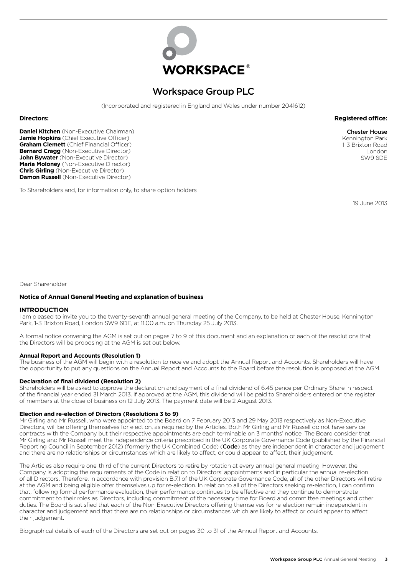

# Workspace Group PLC

(Incorporated and registered in England and Wales under number 2041612)

**Daniel Kitchen** (Non-Executive Chairman) **Jamie Hopkins** (Chief Executive Officer) **Graham Clemett** (Chief Financial Officer) **Bernard Cragg** (Non-Executive Director) **John Bywater** (Non-Executive Director) **Maria Moloney** (Non-Executive Director) **Chris Girling** (Non-Executive Director) **Damon Russell** (Non-Executive Director)

To Shareholders and, for information only, to share option holders

**Directors: Registered office:**

Chester House Kennington Park 1-3 Brixton Road London SW9 6DE

19 June 2013

Dear Shareholder

#### **Notice of Annual General Meeting and explanation of business**

#### **INTRODUCTION**

I am pleased to invite you to the twenty-seventh annual general meeting of the Company, to be held at Chester House, Kennington Park, 1-3 Brixton Road, London SW9 6DE, at 11.00 a.m. on Thursday 25 July 2013.

A formal notice convening the AGM is set out on pages 7 to 9 of this document and an explanation of each of the resolutions that the Directors will be proposing at the AGM is set out below.

#### **Annual Report and Accounts (Resolution 1)**

The business of the AGM will begin with a resolution to receive and adopt the Annual Report and Accounts. Shareholders will have the opportunity to put any questions on the Annual Report and Accounts to the Board before the resolution is proposed at the AGM.

#### **Declaration of final dividend (Resolution 2)**

Shareholders will be asked to approve the declaration and payment of a final dividend of 6.45 pence per Ordinary Share in respect of the financial year ended 31 March 2013. If approved at the AGM, this dividend will be paid to Shareholders entered on the register of members at the close of business on 12 July 2013. The payment date will be 2 August 2013.

#### **Election and re-election of Directors (Resolutions 3 to 9)**

Mr Girling and Mr Russell, who were appointed to the Board on 7 February 2013 and 29 May 2013 respectively as Non-Executive Directors, will be offering themselves for election, as required by the Articles. Both Mr Girling and Mr Russell do not have service contracts with the Company but their respective appointments are each terminable on 3 months' notice. The Board consider that Mr Girling and Mr Russell meet the independence criteria prescribed in the UK Corporate Governance Code (published by the Financial Reporting Council in September 2012) (formerly the UK Combined Code) (Code) as they are independent in character and judgement and there are no relationships or circumstances which are likely to affect, or could appear to affect, their judgement.

The Articles also require one-third of the current Directors to retire by rotation at every annual general meeting. However, the Company is adopting the requirements of the Code in relation to Directors' appointments and in particular the annual re-election of all Directors. Therefore, in accordance with provision B.7.1 of the UK Corporate Governance Code, all of the other Directors will retire at the AGM and being eligible offer themselves up for re-election. In relation to all of the Directors seeking re-election, I can confirm that, following formal performance evaluation, their performance continues to be effective and they continue to demonstrate commitment to their roles as Directors, including commitment of the necessary time for Board and committee meetings and other duties. The Board is satisfied that each of the Non-Executive Directors offering themselves for re-election remain independent in character and judgement and that there are no relationships or circumstances which are likely to affect or could appear to affect their judgement.

Biographical details of each of the Directors are set out on pages 30 to 31 of the Annual Report and Accounts.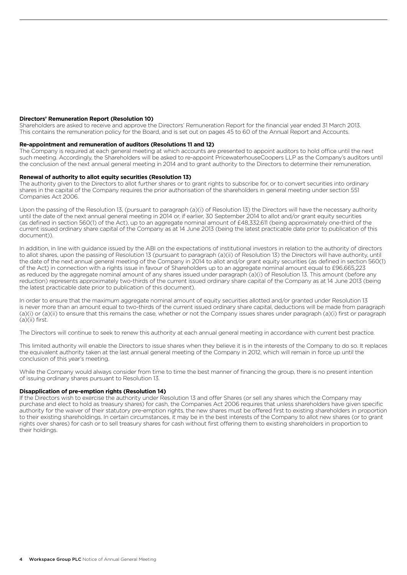#### **Directors' Remuneration Report (Resolution 10)**

Shareholders are asked to receive and approve the Directors' Remuneration Report for the financial year ended 31 March 2013. This contains the remuneration policy for the Board, and is set out on pages 45 to 60 of the Annual Report and Accounts.

#### **Re-appointment and remuneration of auditors (Resolutions 11 and 12)**

The Company is required at each general meeting at which accounts are presented to appoint auditors to hold office until the next such meeting. Accordingly, the Shareholders will be asked to re-appoint PricewaterhouseCoopers LLP as the Company's auditors until the conclusion of the next annual general meeting in 2014 and to grant authority to the Directors to determine their remuneration.

#### **Renewal of authority to allot equity securities (Resolution 13)**

The authority given to the Directors to allot further shares or to grant rights to subscribe for, or to convert securities into ordinary shares in the capital of the Company requires the prior authorisation of the shareholders in general meeting under section 551 Companies Act 2006.

Upon the passing of the Resolution 13, (pursuant to paragraph (a)(i) of Resolution 13) the Directors will have the necessary authority until the date of the next annual general meeting in 2014 or, if earlier, 30 September 2014 to allot and/or grant equity securities (as defined in section 560(1) of the Act), up to an aggregate nominal amount of £48,332,611 (being approximately one-third of the current issued ordinary share capital of the Company as at 14 June 2013 (being the latest practicable date prior to publication of this document)).

In addition, in line with guidance issued by the ABI on the expectations of institutional investors in relation to the authority of directors to allot shares, upon the passing of Resolution 13 (pursuant to paragraph (a)(ii) of Resolution 13) the Directors will have authority, until the date of the next annual general meeting of the Company in 2014 to allot and/or grant equity securities (as defined in section 560(1) of the Act) in connection with a rights issue in favour of Shareholders up to an aggregate nominal amount equal to £96,665,223 as reduced by the aggregate nominal amount of any shares issued under paragraph (a)(i) of Resolution 13. This amount (before any reduction) represents approximately two-thirds of the current issued ordinary share capital of the Company as at 14 June 2013 (being the latest practicable date prior to publication of this document).

In order to ensure that the maximum aggregate nominal amount of equity securities allotted and/or granted under Resolution 13 is never more than an amount equal to two-thirds of the current issued ordinary share capital, deductions will be made from paragraph (a)(i) or (a)(ii) to ensure that this remains the case, whether or not the Company issues shares under paragraph (a)(i) first or paragraph (a)(ii) first.

The Directors will continue to seek to renew this authority at each annual general meeting in accordance with current best practice.

This limited authority will enable the Directors to issue shares when they believe it is in the interests of the Company to do so. It replaces the equivalent authority taken at the last annual general meeting of the Company in 2012, which will remain in force up until the conclusion of this year's meeting.

While the Company would always consider from time to time the best manner of financing the group, there is no present intention of issuing ordinary shares pursuant to Resolution 13.

#### **Disapplication of pre-emption rights (Resolution 14)**

If the Directors wish to exercise the authority under Resolution 13 and offer Shares (or sell any shares which the Company may purchase and elect to hold as treasury shares) for cash, the Companies Act 2006 requires that unless shareholders have given specific authority for the waiver of their statutory pre-emption rights, the new shares must be offered first to existing shareholders in proportion to their existing shareholdings. In certain circumstances, it may be in the best interests of the Company to allot new shares (or to grant rights over shares) for cash or to sell treasury shares for cash without first offering them to existing shareholders in proportion to their holdings.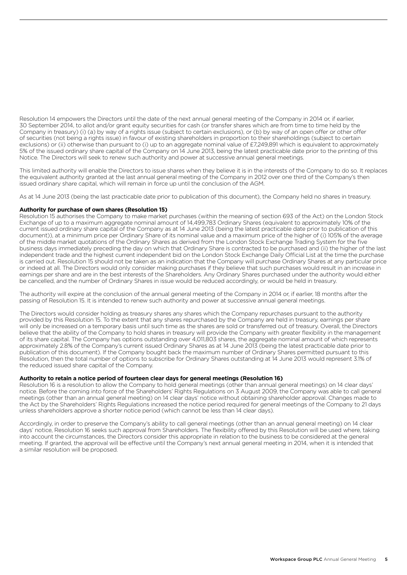Resolution 14 empowers the Directors until the date of the next annual general meeting of the Company in 2014 or, if earlier, 30 September 2014, to allot and/or grant equity securities for cash (or transfer shares which are from time to time held by the Company in treasury) (i) (a) by way of a rights issue (subject to certain exclusions), or (b) by way of an open offer or other offer of securities (not being a rights issue) in favour of existing shareholders in proportion to their shareholdings (subject to certain exclusions) or (ii) otherwise than pursuant to (i) up to an aggregate nominal value of £7,249,891 which is equivalent to approximately 5% of the issued ordinary share capital of the Company on 14 June 2013, being the latest practicable date prior to the printing of this Notice. The Directors will seek to renew such authority and power at successive annual general meetings.

This limited authority will enable the Directors to issue shares when they believe it is in the interests of the Company to do so. It replaces the equivalent authority granted at the last annual general meeting of the Company in 2012 over one third of the Company's then issued ordinary share capital, which will remain in force up until the conclusion of the AGM.

As at 14 June 2013 (being the last practicable date prior to publication of this document), the Company held no shares in treasury.

#### **Authority for purchase of own shares (Resolution 15)**

Resolution 15 authorises the Company to make market purchases (within the meaning of section 693 of the Act) on the London Stock Exchange of up to a maximum aggregate nominal amount of 14,499,783 Ordinary Shares (equivalent to approximately 10% of the current issued ordinary share capital of the Company as at 14 June 2013 (being the latest practicable date prior to publication of this document)), at a minimum price per Ordinary Share of its nominal value and a maximum price of the higher of (i) 105% of the average of the middle market quotations of the Ordinary Shares as derived from the London Stock Exchange Trading System for the five business days immediately preceding the day on which that Ordinary Share is contracted to be purchased and (ii) the higher of the last independent trade and the highest current independent bid on the London Stock Exchange Daily Official List at the time the purchase is carried out. Resolution 15 should not be taken as an indication that the Company will purchase Ordinary Shares at any particular price or indeed at all. The Directors would only consider making purchases if they believe that such purchases would result in an increase in earnings per share and are in the best interests of the Shareholders. Any Ordinary Shares purchased under the authority would either be cancelled, and the number of Ordinary Shares in issue would be reduced accordingly, or would be held in treasury.

The authority will expire at the conclusion of the annual general meeting of the Company in 2014 or, if earlier, 18 months after the passing of Resolution 15. It is intended to renew such authority and power at successive annual general meetings.

The Directors would consider holding as treasury shares any shares which the Company repurchases pursuant to the authority provided by this Resolution 15. To the extent that any shares repurchased by the Company are held in treasury, earnings per share will only be increased on a temporary basis until such time as the shares are sold or transferred out of treasury. Overall, the Directors believe that the ability of the Company to hold shares in treasury will provide the Company with greater flexibility in the management of its share capital. The Company has options outstanding over 4,011,803 shares, the aggregate nominal amount of which represents approximately 2.8% of the Company's current issued Ordinary Shares as at 14 June 2013 (being the latest practicable date prior to publication of this document). If the Company bought back the maximum number of Ordinary Shares permitted pursuant to this Resolution, then the total number of options to subscribe for Ordinary Shares outstanding at 14 June 2013 would represent 3.1% of the reduced issued share capital of the Company.

#### **Authority to retain a notice period of fourteen clear days for general meetings (Resolution 16)**

Resolution 16 is a resolution to allow the Company to hold general meetings (other than annual general meetings) on 14 clear days' notice. Before the coming into force of the Shareholders' Rights Regulations on 3 August 2009, the Company was able to call general meetings (other than an annual general meeting) on 14 clear days' notice without obtaining shareholder approval. Changes made to the Act by the Shareholders' Rights Regulations increased the notice period required for general meetings of the Company to 21 days unless shareholders approve a shorter notice period (which cannot be less than 14 clear days).

Accordingly, in order to preserve the Company's ability to call general meetings (other than an annual general meeting) on 14 clear days' notice, Resolution 16 seeks such approval from Shareholders. The flexibility offered by this Resolution will be used where, taking into account the circumstances, the Directors consider this appropriate in relation to the business to be considered at the general meeting. If granted, the approval will be effective until the Company's next annual general meeting in 2014, when it is intended that a similar resolution will be proposed.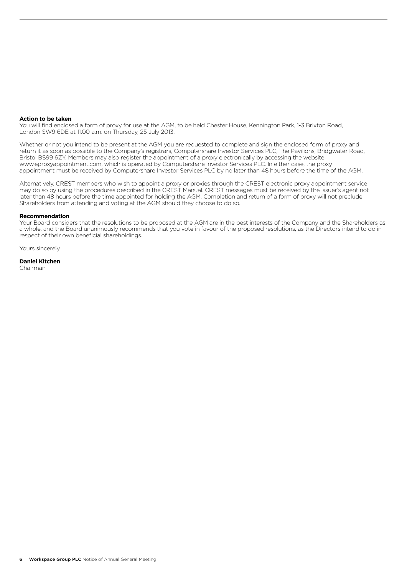#### **Action to be taken**

You will find enclosed a form of proxy for use at the AGM, to be held Chester House, Kennington Park, 1-3 Brixton Road, London SW9 6DE at 11.00 a.m. on Thursday, 25 July 2013.

Whether or not you intend to be present at the AGM you are requested to complete and sign the enclosed form of proxy and return it as soon as possible to the Company's registrars, Computershare Investor Services PLC, The Pavilions, Bridgwater Road, Bristol BS99 6ZY. Members may also register the appointment of a proxy electronically by accessing the website www.eproxyappointment.com, which is operated by Computershare Investor Services PLC. In either case, the proxy appointment must be received by Computershare Investor Services PLC by no later than 48 hours before the time of the AGM.

Alternatively, CREST members who wish to appoint a proxy or proxies through the CREST electronic proxy appointment service may do so by using the procedures described in the CREST Manual. CREST messages must be received by the issuer's agent not later than 48 hours before the time appointed for holding the AGM. Completion and return of a form of proxy will not preclude Shareholders from attending and voting at the AGM should they choose to do so.

#### **Recommendation**

Your Board considers that the resolutions to be proposed at the AGM are in the best interests of the Company and the Shareholders as a whole, and the Board unanimously recommends that you vote in favour of the proposed resolutions, as the Directors intend to do in respect of their own beneficial shareholdings.

Yours sincerely

**Daniel Kitchen** Chairman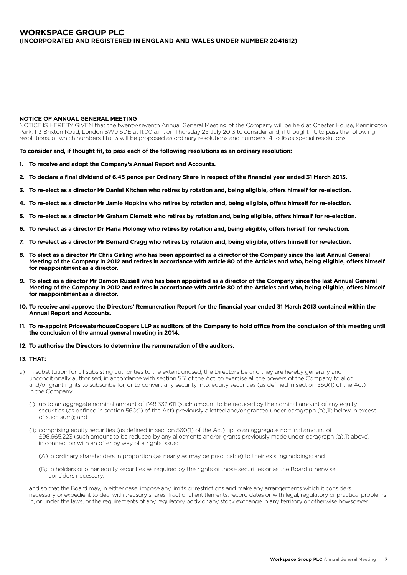## **Workspace Group PLC (Incorporated and registered in England and Wales under number 2041612)**

#### **NOTICE OF ANNUAL GENERAL MEETING**

NOTICE IS HEREBY GIVEN that the twenty-seventh Annual General Meeting of the Company will be held at Chester House, Kennington Park, 1-3 Brixton Road, London SW9 6DE at 11.00 a.m. on Thursday 25 July 2013 to consider and, if thought fit, to pass the following resolutions, of which numbers 1 to 13 will be proposed as ordinary resolutions and numbers 14 to 16 as special resolutions:

**To consider and, if thought fit, to pass each of the following resolutions as an ordinary resolution:**

- **1. To receive and adopt the Company's Annual Report and Accounts.**
- **2. To declare a final dividend of 6.45 pence per Ordinary Share in respect of the financial year ended 31 March 2013.**
- **3. To re-elect as a director Mr Daniel Kitchen who retires by rotation and, being eligible, offers himself for re-election.**
- **4. To re-elect as a director Mr Jamie Hopkins who retires by rotation and, being eligible, offers himself for re-election.**
- **5. To re-elect as a director Mr Graham Clemett who retires by rotation and, being eligible, offers himself for re-election.**
- **6. To re-elect as a director Dr Maria Moloney who retires by rotation and, being eligible, offers herself for re-election.**
- **7. To re-elect as a director Mr Bernard Cragg who retires by rotation and, being eligible, offers himself for re-election.**
- **8. To elect as a director Mr Chris Girling who has been appointed as a director of the Company since the last Annual General Meeting of the Company in 2012 and retires in accordance with article 80 of the Articles and who, being eligible, offers himself for reappointment as a director.**
- **9. To elect as a director Mr Damon Russell who has been appointed as a director of the Company since the last Annual General Meeting of the Company in 2012 and retires in accordance with article 80 of the Articles and who, being eligible, offers himself for reappointment as a director.**
- **10. To receive and approve the Directors' Remuneration Report for the financial year ended 31 March 2013 contained within the Annual Report and Accounts.**
- **11. To re-appoint PricewaterhouseCoopers LLP as auditors of the Company to hold office from the conclusion of this meeting until the conclusion of the annual general meeting in 2014.**
- **12. To authorise the Directors to determine the remuneration of the auditors.**

### **13. THAT:**

- a) in substitution for all subsisting authorities to the extent unused, the Directors be and they are hereby generally and unconditionally authorised, in accordance with section 551 of the Act, to exercise all the powers of the Company to allot and/or grant rights to subscribe for, or to convert any security into, equity securities (as defined in section 560(1) of the Act) in the Company:
	- (i) up to an aggregate nominal amount of £48,332,611 (such amount to be reduced by the nominal amount of any equity securities (as defined in section 560(1) of the Act) previously allotted and/or granted under paragraph (a)(ii) below in excess of such sum); and
	- (ii) comprising equity securities (as defined in section 560(1) of the Act) up to an aggregate nominal amount of £96,665,223 (such amount to be reduced by any allotments and/or grants previously made under paragraph (a)(i) above) in connection with an offer by way of a rights issue:
		- (A)to ordinary shareholders in proportion (as nearly as may be practicable) to their existing holdings; and
		- (B) to holders of other equity securities as required by the rights of those securities or as the Board otherwise considers necessary,

 and so that the Board may, in either case, impose any limits or restrictions and make any arrangements which it considers necessary or expedient to deal with treasury shares, fractional entitlements, record dates or with legal, regulatory or practical problems in, or under the laws, or the requirements of any regulatory body or any stock exchange in any territory or otherwise howsoever.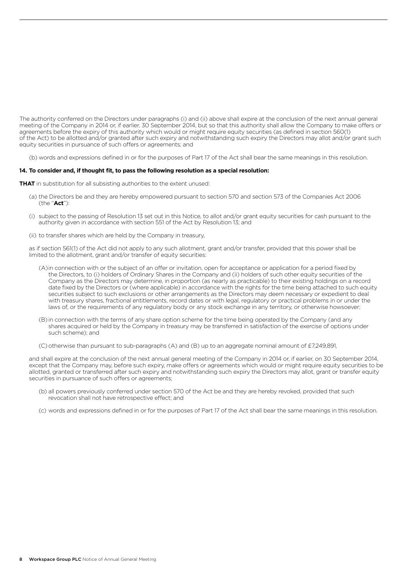The authority conferred on the Directors under paragraphs (i) and (ii) above shall expire at the conclusion of the next annual general meeting of the Company in 2014 or, if earlier, 30 September 2014, but so that this authority shall allow the Company to make offers or agreements before the expiry of this authority which would or might require equity securities (as defined in section 560(1) of the Act) to be allotted and/or granted after such expiry and notwithstanding such expiry the Directors may allot and/or grant such equity securities in pursuance of such offers or agreements; and

(b) words and expressions defined in or for the purposes of Part 17 of the Act shall bear the same meanings in this resolution.

#### **14. To consider and, if thought fit, to pass the following resolution as a special resolution:**

**THAT** in substitution for all subsisting authorities to the extent unused:

- (a) the Directors be and they are hereby empowered pursuant to section 570 and section 573 of the Companies Act 2006 (the "**Act**"):
- (i) subject to the passing of Resolution 13 set out in this Notice, to allot and/or grant equity securities for cash pursuant to the authority given in accordance with section 551 of the Act by Resolution 13; and
- (ii) to transfer shares which are held by the Company in treasury,

 as if section 561(1) of the Act did not apply to any such allotment, grant and/or transfer, provided that this power shall be limited to the allotment, grant and/or transfer of equity securities:

- (A) in connection with or the subject of an offer or invitation, open for acceptance or application for a period fixed by the Directors, to (i) holders of Ordinary Shares in the Company and (ii) holders of such other equity securities of the Company as the Directors may determine, in proportion (as nearly as practicable) to their existing holdings on a record date fixed by the Directors or (where applicable) in accordance with the rights for the time being attached to such equity securities subject to such exclusions or other arrangements as the Directors may deem necessary or expedient to deal with treasury shares, fractional entitlements, record dates or with legal, regulatory or practical problems in or under the laws of, or the requirements of any regulatory body or any stock exchange in any territory, or otherwise howsoever;
- (B) in connection with the terms of any share option scheme for the time being operated by the Company (and any shares acquired or held by the Company in treasury may be transferred in satisfaction of the exercise of options under such scheme); and
- (C) otherwise than pursuant to sub-paragraphs (A) and (B) up to an aggregate nominal amount of £7,249,891,

 and shall expire at the conclusion of the next annual general meeting of the Company in 2014 or, if earlier, on 30 September 2014, except that the Company may, before such expiry, make offers or agreements which would or might require equity securities to be allotted, granted or transferred after such expiry and notwithstanding such expiry the Directors may allot, grant or transfer equity securities in pursuance of such offers or agreements;

- (b) all powers previously conferred under section 570 of the Act be and they are hereby revoked, provided that such revocation shall not have retrospective effect; and
- (c) words and expressions defined in or for the purposes of Part 17 of the Act shall bear the same meanings in this resolution.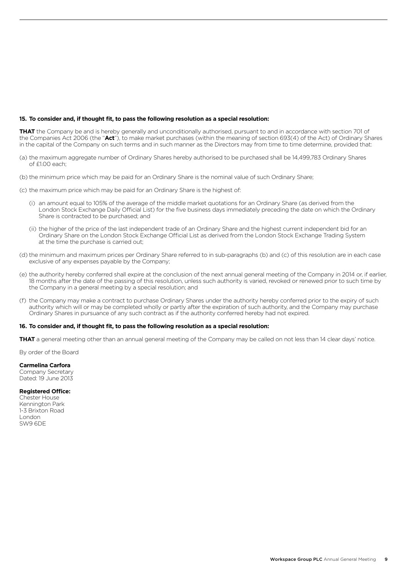### **15. To consider and, if thought fit, to pass the following resolution as a special resolution:**

**THAT** the Company be and is hereby generally and unconditionally authorised, pursuant to and in accordance with section 701 of the Companies Act 2006 (the "**Act**"), to make market purchases (within the meaning of section 693(4) of the Act) of Ordinary Shares in the capital of the Company on such terms and in such manner as the Directors may from time to time determine, provided that:

- (a) the maximum aggregate number of Ordinary Shares hereby authorised to be purchased shall be 14,499,783 Ordinary Shares of £1.00 each;
- (b) the minimum price which may be paid for an Ordinary Share is the nominal value of such Ordinary Share;
- (c) the maximum price which may be paid for an Ordinary Share is the highest of:
	- (i) an amount equal to 105% of the average of the middle market quotations for an Ordinary Share (as derived from the London Stock Exchange Daily Official List) for the five business days immediately preceding the date on which the Ordinary Share is contracted to be purchased; and
	- (ii) the higher of the price of the last independent trade of an Ordinary Share and the highest current independent bid for an Ordinary Share on the London Stock Exchange Official List as derived from the London Stock Exchange Trading System at the time the purchase is carried out;
- (d) the minimum and maximum prices per Ordinary Share referred to in sub-paragraphs (b) and (c) of this resolution are in each case exclusive of any expenses payable by the Company;
- (e) the authority hereby conferred shall expire at the conclusion of the next annual general meeting of the Company in 2014 or, if earlier, 18 months after the date of the passing of this resolution, unless such authority is varied, revoked or renewed prior to such time by the Company in a general meeting by a special resolution; and
- (f) the Company may make a contract to purchase Ordinary Shares under the authority hereby conferred prior to the expiry of such authority which will or may be completed wholly or partly after the expiration of such authority, and the Company may purchase Ordinary Shares in pursuance of any such contract as if the authority conferred hereby had not expired.

#### **16. To consider and, if thought fit, to pass the following resolution as a special resolution:**

**THAT** a general meeting other than an annual general meeting of the Company may be called on not less than 14 clear days' notice.

By order of the Board

#### **Carmelina Carfora**

Company Secretary Dated: 19 June 2013

#### **Registered Office:**

Chester House Kennington Park 1-3 Brixton Road London SW9 6DE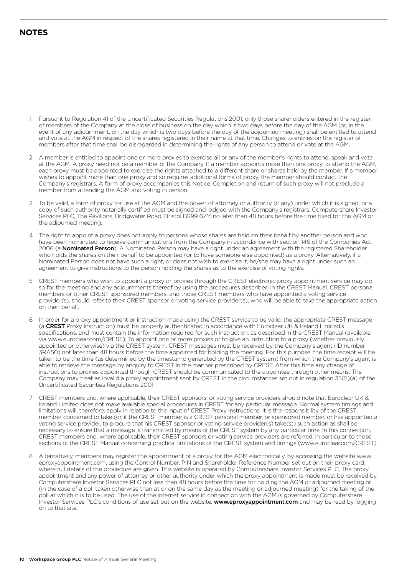# **NOTES**

- 1 Pursuant to Regulation 41 of the Uncertificated Securities Regulations 2001, only those shareholders entered in the register of members of the Company at the close of business on the day which is two days before the day of the AGM (or, in the event of any adjournment, on the day which is two days before the day of the adjourned meeting) shall be entitled to attend and vote at the AGM in respect of the shares registered in their name at that time. Changes to entries on the register of members after that time shall be disregarded in determining the rights of any person to attend or vote at the AGM.
- 2 A member is entitled to appoint one or more proxies to exercise all or any of the member's rights to attend, speak and vote at the AGM. A proxy need not be a member of the Company. If a member appoints more than one proxy to attend the AGM, each proxy must be appointed to exercise the rights attached to a different share or shares held by the member. If a member wishes to appoint more than one proxy and so requires additional forms of proxy, the member should contact the Company's registrars. A form of proxy accompanies this Notice. Completion and return of such proxy will not preclude a member from attending the AGM and voting in person.
- 3 To be valid, a form of proxy for use at the AGM and the power of attorney or authority (if any) under which it is signed, or a copy of such authority notarially certified must be signed and lodged with the Company's registrars, Computershare Investor Services PLC, The Pavilions, Bridgwater Road, Bristol BS99 6ZY, no later than 48 hours before the time fixed for the AGM or the adjourned meeting.
- 4 The right to appoint a proxy does not apply to persons whose shares are held on their behalf by another person and who have been nominated to receive communications from the Company in accordance with section 146 of the Companies Act 2006 (a Nominated Person). A Nominated Person may have a right under an agreement with the registered Shareholder who holds the shares on their behalf to be appointed (or to have someone else appointed) as a proxy. Alternatively, if a Nominated Person does not have such a right, or does not wish to exercise it, he/she may have a right under such an agreement to give instructions to the person holding the shares as to the exercise of voting rights.
- 5 CREST members who wish to appoint a proxy or proxies through the CREST electronic proxy appointment service may do so for the meeting and any adjournments thereof by using the procedures described in the CREST Manual. CREST personal members or other CREST sponsored members, and those CREST members who have appointed a voting service provider(s), should refer to their CREST sponsor or voting service provider(s), who will be able to take the appropriate action on their behalf.
- 6 In order for a proxy appointment or instruction made using the CREST service to be valid, the appropriate CREST message (a CREST Proxy Instruction) must be properly authenticated in accordance with Euroclear UK & Ireland Limited's specifications, and must contain the information required for such instruction, as described in the CREST Manual (available via www.euroclear.com/CREST). To appoint one or more proxies or to give an instruction to a proxy (whether previously appointed or otherwise) via the CREST system, CREST messages must be received by the Company's agent (ID number 3RA50) not later than 48 hours before the time appointed for holding the meeting. For this purpose, the time receipt will be taken to be the time (as determined by the timestamp generated by the CREST system) from which the Company's agent is able to retrieve the message by enquiry to CREST in the manner prescribed by CREST. After this time any change of instructions to proxies appointed through CREST should be communicated to the appointee through other means. The Company may treat as invalid a proxy appointment sent by CREST in the circumstances set out in regulation 35(5)(a) of the Uncertificated Securities Regulations 2001.
- 7 CREST members and, where applicable, their CREST sponsors, or voting service providers should note that Euroclear UK & Ireland Limited does not make available special procedures in CREST for any particular message. Normal system timings and limitations will, therefore, apply in relation to the input of CREST Proxy Instructions. It is the responsibility of the CREST member concerned to take (or, if the CREST member is a CREST personal member, or sponsored member, or has appointed a voting service provider, to procure that his CREST sponsor or voting service provider(s) take(s)) such action as shall be necessary to ensure that a message is transmitted by means of the CREST system by any particular time. In this connection, CREST members and, where applicable, their CREST sponsors or voting service providers are referred, in particular, to those sections of the CREST Manual concerning practical limitations of the CREST system and timings (www.euroclear.com/CREST).
- 8 Alternatively, members may register the appointment of a proxy for the AGM electronically, by accessing the website www. eproxyappointment.com, using the Control Number, PIN and Shareholder Reference Number set out on their proxy card, where full details of the procedure are given. This website is operated by Computershare Investor Services PLC. The proxy appointment and any power of attorney or other authority under which the proxy appointment is made must be received by Computershare Investor Services PLC not less than 48 hours before the time for holding the AGM or adjourned meeting or (in the case of a poll taken otherwise than at or on the same day as the meeting or adjourned meeting) for the taking of the poll at which it is to be used. The use of the internet service in connection with the AGM is governed by Computershare Investor Services PLC's conditions of use set out on the website, **www.eproxyappointment.com** and may be read by logging on to that site.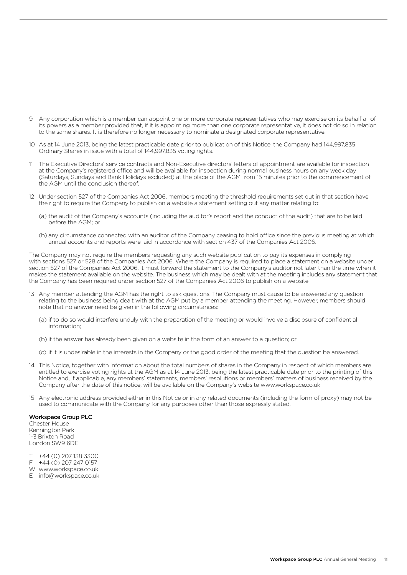- 9 Any corporation which is a member can appoint one or more corporate representatives who may exercise on its behalf all of its powers as a member provided that, if it is appointing more than one corporate representative, it does not do so in relation to the same shares. It is therefore no longer necessary to nominate a designated corporate representative.
- 10 As at 14 June 2013, being the latest practicable date prior to publication of this Notice, the Company had 144,997,835 Ordinary Shares in issue with a total of 144,997,835 voting rights.
- 11 The Executive Directors' service contracts and Non-Executive directors' letters of appointment are available for inspection at the Company's registered office and will be available for inspection during normal business hours on any week day (Saturdays, Sundays and Bank Holidays excluded) at the place of the AGM from 15 minutes prior to the commencement of the AGM until the conclusion thereof.
- 12 Under section 527 of the Companies Act 2006, members meeting the threshold requirements set out in that section have the right to require the Company to publish on a website a statement setting out any matter relating to:
	- (a) the audit of the Company's accounts (including the auditor's report and the conduct of the audit) that are to be laid before the AGM; or
	- (b) any circumstance connected with an auditor of the Company ceasing to hold office since the previous meeting at which annual accounts and reports were laid in accordance with section 437 of the Companies Act 2006.

The Company may not require the members requesting any such website publication to pay its expenses in complying with sections 527 or 528 of the Companies Act 2006. Where the Company is required to place a statement on a website under section 527 of the Companies Act 2006, it must forward the statement to the Company's auditor not later than the time when it makes the statement available on the website. The business which may be dealt with at the meeting includes any statement that the Company has been required under section 527 of the Companies Act 2006 to publish on a website.

- 13 Any member attending the AGM has the right to ask questions. The Company must cause to be answered any question relating to the business being dealt with at the AGM put by a member attending the meeting. However, members should note that no answer need be given in the following circumstances:
	- (a) if to do so would interfere unduly with the preparation of the meeting or would involve a disclosure of confidential information;
	- (b) if the answer has already been given on a website in the form of an answer to a question; or
	- (c) if it is undesirable in the interests in the Company or the good order of the meeting that the question be answered.
- 14 This Notice, together with information about the total numbers of shares in the Company in respect of which members are entitled to exercise voting rights at the AGM as at 14 June 2013, being the latest practicable date prior to the printing of this Notice and, if applicable, any members' statements, members' resolutions or members' matters of business received by the Company after the date of this notice, will be available on the Company's website www.workspace.co.uk.
- 15 Any electronic address provided either in this Notice or in any related documents (including the form of proxy) may not be used to communicate with the Company for any purposes other than those expressly stated.

#### Workspace Group PLC

Chester House Kennington Park 1-3 Brixton Road London SW9 6DE

- T +44 (0) 207 138 3300<br>F +44 (0) 207 247 0157
- F +44 (0) 207 247 0157
- W www.workspace.co.uk
- E info@workspace.co.uk